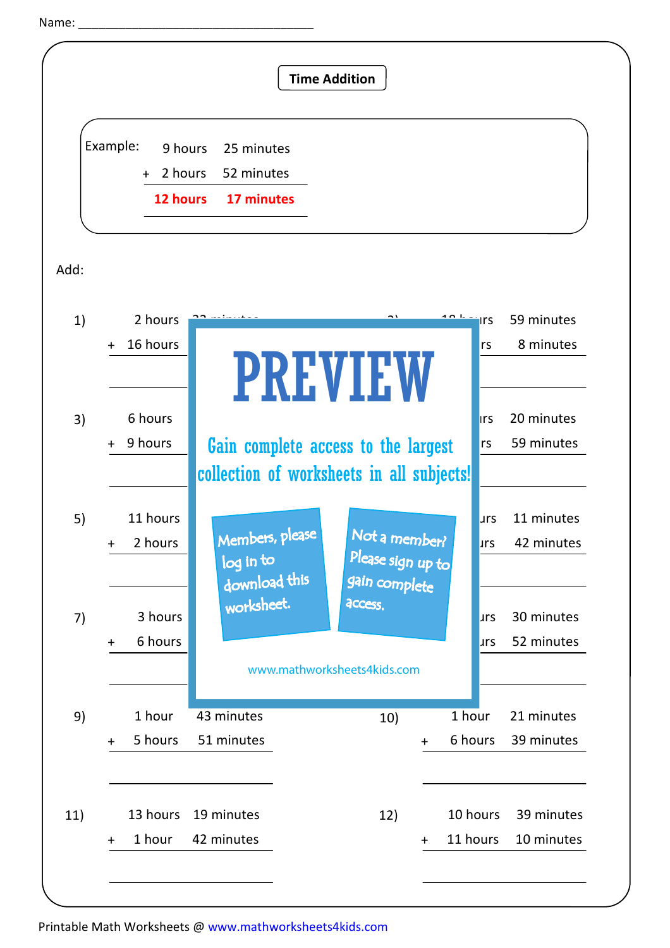